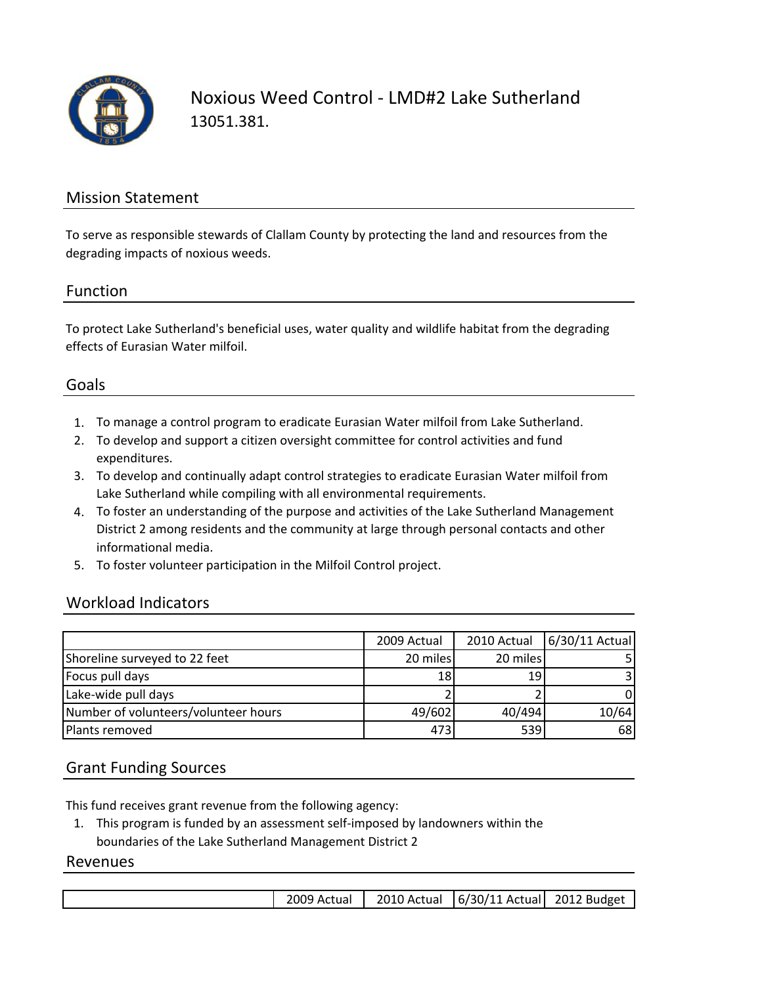

Noxious Weed Control ‐ LMD#2 Lake Sutherland 13051.381.

### Mission Statement

To serve as responsible stewards of Clallam County by protecting the land and resources from the degrading impacts of noxious weeds.

#### Function

To protect Lake Sutherland's beneficial uses, water quality and wildlife habitat from the degrading effects of Eurasian Water milfoil.

#### Goals

- 1. To manage a control program to eradicate Eurasian Water milfoil from Lake Sutherland.
- 2. To develop and support a citizen oversight committee for control activities and fund expenditures.
- 3. To develop and continually adapt control strategies to eradicate Eurasian Water milfoil from Lake Sutherland while compiling with all environmental requirements.
- 4. To foster an understanding of the purpose and activities of the Lake Sutherland Management District 2 among residents and the community at large through personal contacts and other informational media.
- 5. To foster volunteer participation in the Milfoil Control project.

#### Workload Indicators

|                                      | 2009 Actual | 2010 Actual | 6/30/11 Actual |
|--------------------------------------|-------------|-------------|----------------|
| Shoreline surveyed to 22 feet        | 20 miles    | 20 miles    |                |
| Focus pull days                      | 18          | 19          |                |
| Lake-wide pull days                  |             |             | 0              |
| Number of volunteers/volunteer hours | 49/602      | 40/494      | 10/64          |
| Plants removed                       | 473         | 539         | 68 I           |

#### Grant Funding Sources

This fund receives grant revenue from the following agency:

1. This program is funded by an assessment self‐imposed by landowners within the boundaries of the Lake Sutherland Management District 2

#### Revenues

2009 Actual | 2010 Actual | 6/30/11 Actual | 2012 Budget